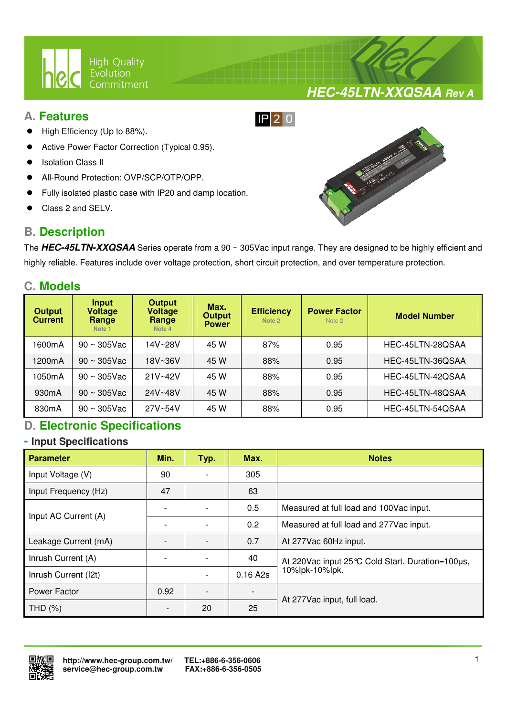

## **A. Features**

- High Efficiency (Up to 88%).
- Active Power Factor Correction (Typical 0.95).
- Isolation Class II
- All-Round Protection: OVP/SCP/OTP/OPP.
- Fully isolated plastic case with IP20 and damp location.

 $\overline{a}$ 

Class 2 and SELV.

## **B. Description**



**HEC-45LTN-XXQSAA Rev A**

The **HEC-45LTN-XXQSAA** Series operate from a 90 ~ 305Vac input range. They are designed to be highly efficient and highly reliable. Features include over voltage protection, short circuit protection, and over temperature protection.

 $IP$  20

## **C. Models**

| <b>Output</b><br><b>Current</b> | Input<br>Voltage<br>Range<br>Note 1 | <b>Output</b><br><b>Voltage</b><br>Range<br>Note 4 | Max.<br><b>Efficiency</b><br><b>Output</b><br>Note 2<br><b>Power</b> |     | <b>Power Factor</b><br>Note 2 | <b>Model Number</b> |
|---------------------------------|-------------------------------------|----------------------------------------------------|----------------------------------------------------------------------|-----|-------------------------------|---------------------|
| 1600mA                          | $90 \sim 305$ Vac                   | 14V~28V                                            | 45 W                                                                 | 87% | 0.95                          | HEC-45LTN-28QSAA    |
| 1200mA                          | $90 \sim 305$ Vac                   | 18V~36V                                            | 45 W                                                                 | 88% | 0.95                          | HEC-45LTN-36QSAA    |
| 1050mA                          | $90 \sim 305$ Vac                   | $21V - 42V$                                        | 45 W                                                                 | 88% | 0.95                          | HEC-45LTN-42QSAA    |
| 930 <sub>m</sub> A              | $90 \sim 305$ Vac                   | 24V~48V                                            | 45 W                                                                 | 88% | 0.95                          | HEC-45LTN-48QSAA    |
| 830 <sub>m</sub> A              | $90 \sim 305$ Vac                   | 27V~54V                                            | 45 W                                                                 | 88% | 0.95                          | HEC-45LTN-54QSAA    |

## **D. Electronic Specifications**

## **- Input Specifications**

| <b>Parameter</b>     | Min. | Typ. | Max.     | <b>Notes</b>                                        |  |
|----------------------|------|------|----------|-----------------------------------------------------|--|
| Input Voltage (V)    | 90   |      | 305      |                                                     |  |
| Input Frequency (Hz) | 47   |      | 63       |                                                     |  |
| Input AC Current (A) |      |      | 0.5      | Measured at full load and 100Vac input.             |  |
|                      |      |      | 0.2      | Measured at full load and 277Vac input.             |  |
| Leakage Current (mA) |      |      | 0.7      | At 277Vac 60Hz input.                               |  |
| Inrush Current (A)   |      |      | 40       | At 220 Vac input 25 °C Cold Start. Duration=100 µs, |  |
| Inrush Current (I2t) |      |      | 0.16 A2s | 10%lpk-10%lpk.                                      |  |
| Power Factor         | 0.92 |      |          | At 277Vac input, full load.                         |  |
| THD (%)              |      | 20   | 25       |                                                     |  |

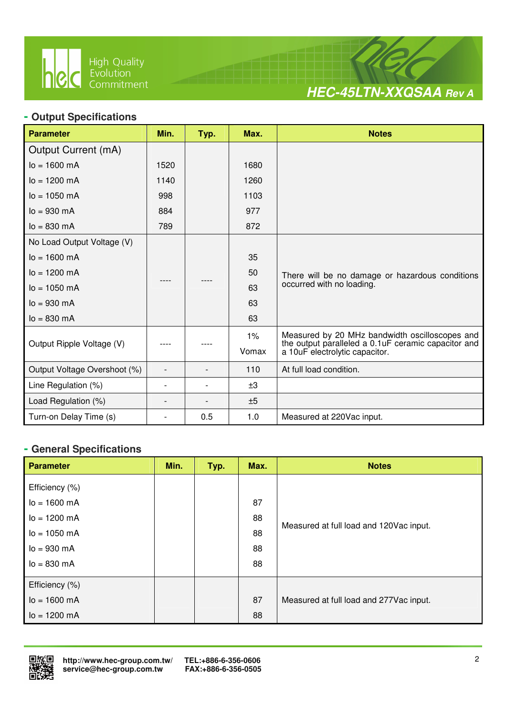

 $\overline{a}$ 



## **- Output Specifications**

| <b>Parameter</b>             | Min.                     | Typ. | Max.  | <b>Notes</b>                                                                          |
|------------------------------|--------------------------|------|-------|---------------------------------------------------------------------------------------|
| Output Current (mA)          |                          |      |       |                                                                                       |
| $I_0 = 1600$ mA              | 1520                     |      | 1680  |                                                                                       |
| $I_0 = 1200 \text{ mA}$      | 1140                     |      | 1260  |                                                                                       |
| $lo = 1050$ mA               | 998                      |      | 1103  |                                                                                       |
| $I_0 = 930$ mA               | 884                      |      | 977   |                                                                                       |
| $I_0 = 830 \text{ mA}$       | 789                      |      | 872   |                                                                                       |
| No Load Output Voltage (V)   |                          |      |       |                                                                                       |
| $Io = 1600$ mA               |                          |      | 35    |                                                                                       |
| $I_0 = 1200 \text{ mA}$      |                          |      | 50    | There will be no damage or hazardous conditions                                       |
| $lo = 1050$ mA               |                          |      | 63    | occurred with no loading.                                                             |
| $Io = 930$ mA                |                          |      | 63    |                                                                                       |
| $I_0 = 830$ mA               |                          |      | 63    |                                                                                       |
|                              |                          |      | 1%    | Measured by 20 MHz bandwidth oscilloscopes and                                        |
| Output Ripple Voltage (V)    |                          |      | Vomax | the output paralleled a 0.1uF ceramic capacitor and<br>a 10uF electrolytic capacitor. |
| Output Voltage Overshoot (%) | $\overline{a}$           |      | 110   | At full load condition.                                                               |
| Line Regulation (%)          | $\overline{\phantom{a}}$ |      | ±3    |                                                                                       |
| Load Regulation (%)          | $\overline{\phantom{0}}$ |      | ±5    |                                                                                       |
| Turn-on Delay Time (s)       | $\overline{\phantom{0}}$ | 0.5  | 1.0   | Measured at 220Vac input.                                                             |

## **- General Specifications**

| <b>Parameter</b>         | Min. | Typ. | Max. | <b>Notes</b>                            |
|--------------------------|------|------|------|-----------------------------------------|
| Efficiency (%)           |      |      |      |                                         |
| $lo = 1600 mA$           |      |      | 87   |                                         |
| $I_0 = 1200 \text{ mA}$  |      |      | 88   |                                         |
| $I_0 = 1050$ mA          |      |      | 88   | Measured at full load and 120Vac input. |
| $I_0 = 930 \, \text{mA}$ |      |      | 88   |                                         |
| $I_0 = 830 \, \text{mA}$ |      |      | 88   |                                         |
| Efficiency (%)           |      |      |      |                                         |
| $lo = 1600 mA$           |      |      | 87   | Measured at full load and 277Vac input. |
| $lo = 1200 mA$           |      |      | 88   |                                         |

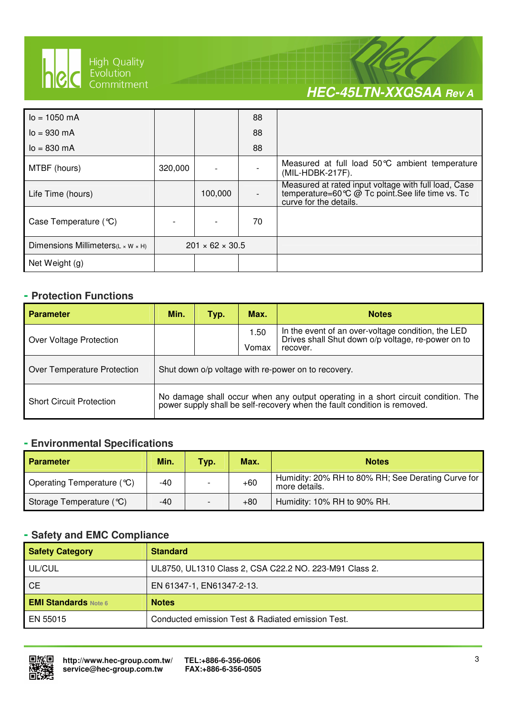

 $\overline{a}$ 

# **HEC-45LTN-XXQSAA Rev A**

| $I_0 = 1050$ mA                                 |         |                             | 88 |                                                                                                                                     |
|-------------------------------------------------|---------|-----------------------------|----|-------------------------------------------------------------------------------------------------------------------------------------|
| $I_0 = 930 \text{ mA}$                          |         |                             | 88 |                                                                                                                                     |
| $I_0 = 830 \text{ mA}$                          |         |                             | 88 |                                                                                                                                     |
| MTBF (hours)                                    | 320,000 |                             |    | Measured at full load 50°C ambient temperature<br>(MIL-HDBK-217F).                                                                  |
| Life Time (hours)                               |         | 100,000                     |    | Measured at rated input voltage with full load, Case<br>temperature=60 ℃ @ Tc point. See life time vs. Tc<br>curve for the details. |
| Case Temperature $(\mathcal{C})$                |         |                             | 70 |                                                                                                                                     |
| Dimensions Millimeters( $L \times W \times H$ ) |         | $201 \times 62 \times 30.5$ |    |                                                                                                                                     |
| Net Weight (g)                                  |         |                             |    |                                                                                                                                     |

## **- Protection Functions**

| <b>Parameter</b>                | Min. | Typ. | Max.                                                | <b>Notes</b>                                                                                                                                               |
|---------------------------------|------|------|-----------------------------------------------------|------------------------------------------------------------------------------------------------------------------------------------------------------------|
| Over Voltage Protection         |      |      | 1.50<br>Vomax                                       | In the event of an over-voltage condition, the LED<br>Drives shall Shut down o/p voltage, re-power on to<br>recover.                                       |
| Over Temperature Protection     |      |      | Shut down o/p voltage with re-power on to recovery. |                                                                                                                                                            |
| <b>Short Circuit Protection</b> |      |      |                                                     | No damage shall occur when any output operating in a short circuit condition. The power supply shall be self-recovery when the fault condition is removed. |

## **- Environmental Specifications**

| <b>Parameter</b>           | Min. | <b>Typ.</b> | Max.  | <b>Notes</b>                                                        |
|----------------------------|------|-------------|-------|---------------------------------------------------------------------|
| Operating Temperature (°C) | -40  |             | $+60$ | Humidity: 20% RH to 80% RH; See Derating Curve for<br>more details. |
| Storage Temperature (°C)   | -40  |             | $+80$ | Humidity: 10% RH to 90% RH.                                         |

## **- Safety and EMC Compliance**

| <b>Safety Category</b>      | <b>Standard</b>                                        |
|-----------------------------|--------------------------------------------------------|
| UL/CUL                      | UL8750, UL1310 Class 2, CSA C22.2 NO. 223-M91 Class 2. |
| <b>CE</b>                   | EN 61347-1, EN61347-2-13.                              |
| <b>EMI Standards Note 6</b> | <b>Notes</b>                                           |
| EN 55015                    | Conducted emission Test & Radiated emission Test.      |

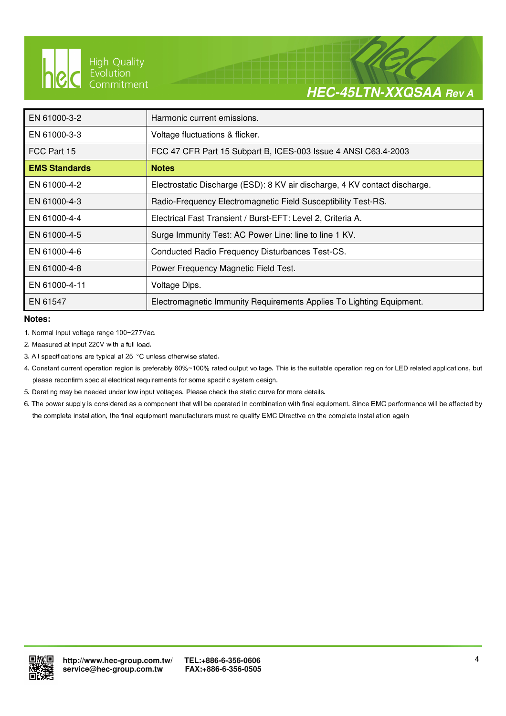

 $\overline{a}$ 

# **HEC-45LTN-XXQSAA Rev A**

| EN 61000-3-2         | Harmonic current emissions.                                                |
|----------------------|----------------------------------------------------------------------------|
| EN 61000-3-3         | Voltage fluctuations & flicker.                                            |
| FCC Part 15          | FCC 47 CFR Part 15 Subpart B, ICES-003 Issue 4 ANSI C63.4-2003             |
| <b>EMS Standards</b> | <b>Notes</b>                                                               |
| EN 61000-4-2         | Electrostatic Discharge (ESD): 8 KV air discharge, 4 KV contact discharge. |
| EN 61000-4-3         | Radio-Frequency Electromagnetic Field Susceptibility Test-RS.              |
| EN 61000-4-4         | Electrical Fast Transient / Burst-EFT: Level 2, Criteria A.                |
| EN 61000-4-5         | Surge Immunity Test: AC Power Line: line to line 1 KV.                     |
| EN 61000-4-6         | Conducted Radio Frequency Disturbances Test-CS.                            |
| EN 61000-4-8         | Power Frequency Magnetic Field Test.                                       |
| EN 61000-4-11        | Voltage Dips.                                                              |
| EN 61547             | Electromagnetic Immunity Requirements Applies To Lighting Equipment.       |

### **Notes:**

1. Normal input voltage range 100~277Vac.

2. Measured at input 220V with a full load.

3. All specifications are typical at 25 °C unless otherwise stated.

4. Constant current operation region is preferably 60%~100% rated output voltage. This is the suitable operation region for LED related applications, but please reconfirm special electrical requirements for some specific system design.

- 5. Derating may be needed under low input voltages. Please check the static curve for more details.
- 6. The power supply is considered as a component that will be operated in combination with final equipment. Since EMC performance will be affected by the complete installation, the final equipment manufacturers must re-qualify EMC Directive on the complete installation again

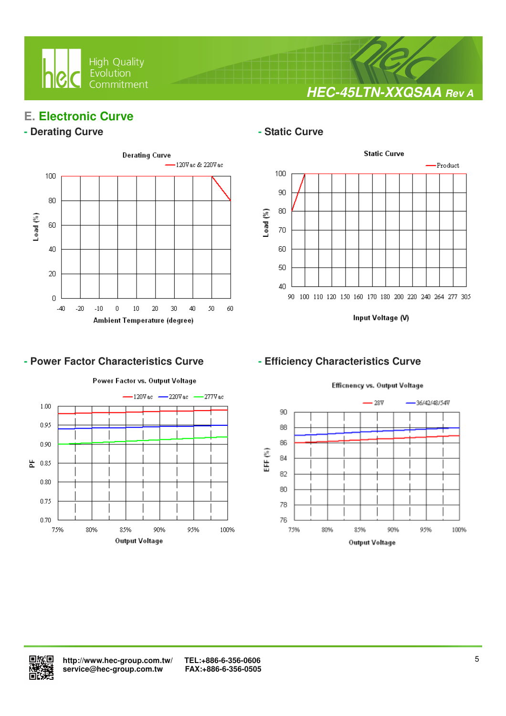

**HEC-45LTN-XXQSAA Rev A**

## **E. Electronic Curve**

## **- Derating Curve**  $\qquad$  **- Static Curve**



 $\overline{a}$ 

## - Power Factor Characteristics Curve **- Efficiency Characteristics Curve**

### Power Factor vs. Output Voltage  $-120$ Vac  $-220$ Vac  $-277V$ ac  $1.00$ 0.95  $0.90$ 붙 0.85  $0.80$ 0.75 0.70 75% 80% 85% 90% 95% 100% Output Voltage



Input Voltage (V)



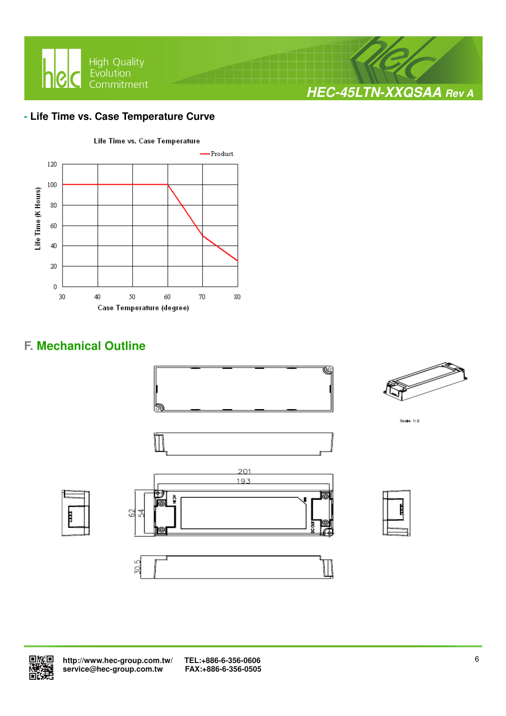

## **- Life Time vs. Case Temperature Curve**



## **F. Mechanical Outline**





 **http://www.hec-group.com.tw/ TEL:+886-6-356-0606**  service@hec-group.com.tw